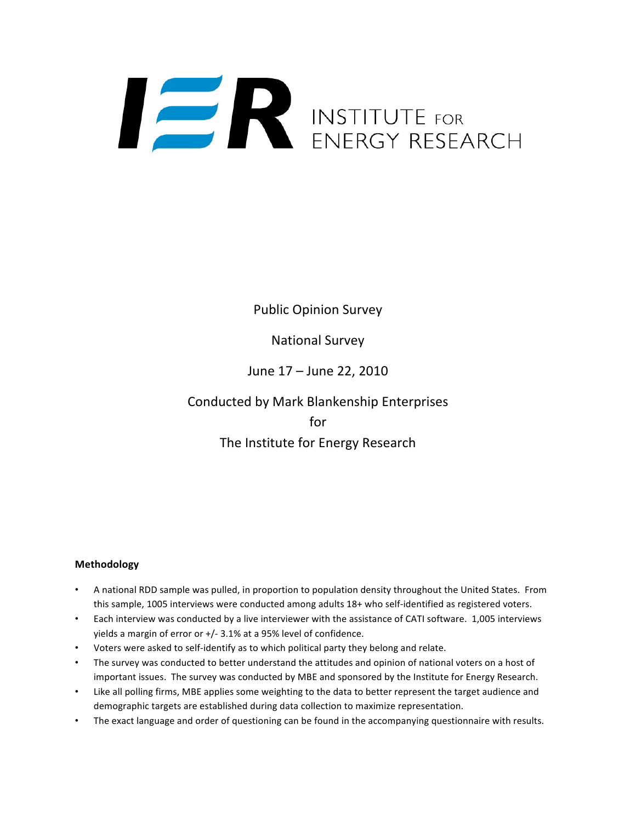# INSTITUTE FOR<br>ENERGY RESEARCH

Public Opinion Survey

National Survey

June 17 – June 22, 2010

Conducted by Mark Blankenship Enterprises for The Institute for Energy Research

# **Methodology**

- A national RDD sample was pulled, in proportion to population density throughout the United States. From this sample, 1005 interviews were conducted among adults 18+ who self‐identified as registered voters.
- Each interview was conducted by a live interviewer with the assistance of CATI software. 1,005 interviews yields a margin of error or +/‐ 3.1% at a 95% level of confidence.
- Voters were asked to self‐identify as to which political party they belong and relate.
- The survey was conducted to better understand the attitudes and opinion of national voters on a host of important issues. The survey was conducted by MBE and sponsored by the Institute for Energy Research.
- Like all polling firms, MBE applies some weighting to the data to better represent the target audience and demographic targets are established during data collection to maximize representation.
- The exact language and order of questioning can be found in the accompanying questionnaire with results.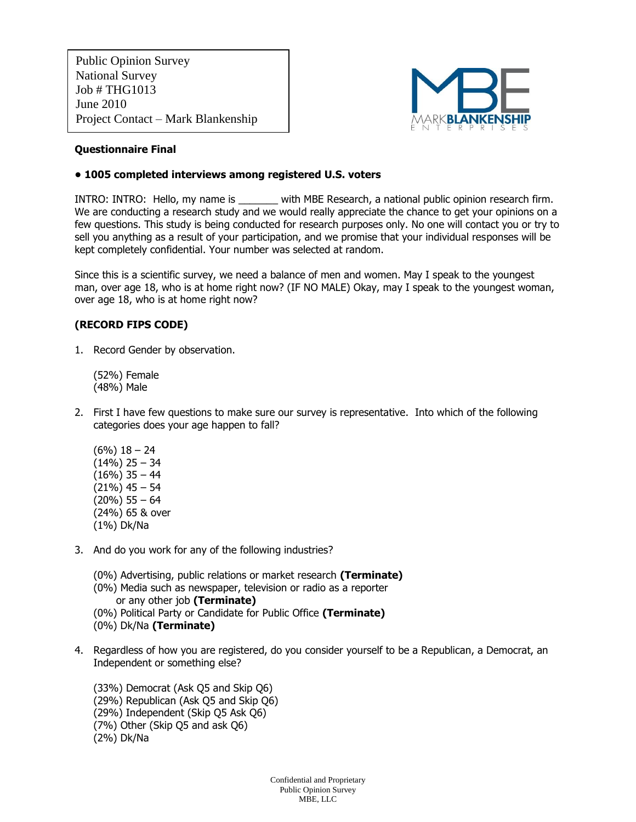Public Opinion Survey National Survey Job # THG1013 June 2010 Project Contact – Mark Blankenship



## **Questionnaire Final**

## **• 1005 completed interviews among registered U.S. voters**

INTRO: INTRO: Hello, my name is \_\_\_\_\_\_\_ with MBE Research, a national public opinion research firm. We are conducting a research study and we would really appreciate the chance to get your opinions on a few questions. This study is being conducted for research purposes only. No one will contact you or try to sell you anything as a result of your participation, and we promise that your individual responses will be kept completely confidential. Your number was selected at random.

Since this is a scientific survey, we need a balance of men and women. May I speak to the youngest man, over age 18, who is at home right now? (IF NO MALE) Okay, may I speak to the youngest woman, over age 18, who is at home right now?

# **(RECORD FIPS CODE)**

1. Record Gender by observation.

(52%) Female (48%) Male

- 2. First I have few questions to make sure our survey is representative. Into which of the following categories does your age happen to fall?
	- (6%) 18 24  $(14\%)$  25 – 34  $(16\%)$  35 - 44  $(21\%)$  45 – 54 (20%) 55 – 64 (24%) 65 & over (1%) Dk/Na
- 3. And do you work for any of the following industries?
	- (0%) Advertising, public relations or market research **(Terminate)**
	- (0%) Media such as newspaper, television or radio as a reporter or any other job **(Terminate)**
	- (0%) Political Party or Candidate for Public Office **(Terminate)**
	- (0%) Dk/Na **(Terminate)**
- 4. Regardless of how you are registered, do you consider yourself to be a Republican, a Democrat, an Independent or something else?

(33%) Democrat (Ask Q5 and Skip Q6) (29%) Republican (Ask Q5 and Skip Q6) (29%) Independent (Skip Q5 Ask Q6) (7%) Other (Skip Q5 and ask Q6) (2%) Dk/Na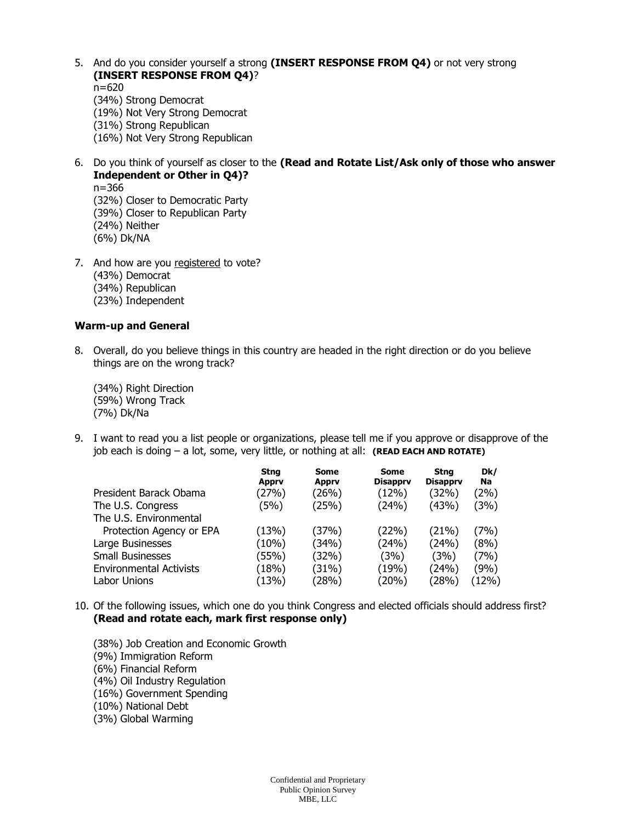- 5. And do you consider yourself a strong **(INSERT RESPONSE FROM Q4)** or not very strong **(INSERT RESPONSE FROM Q4)**? n=620
	- (34%) Strong Democrat (19%) Not Very Strong Democrat (31%) Strong Republican (16%) Not Very Strong Republican
- 6. Do you think of yourself as closer to the **(Read and Rotate List/Ask only of those who answer Independent or Other in Q4)?**  n=366 (32%) Closer to Democratic Party (39%) Closer to Republican Party (24%) Neither (6%) Dk/NA
- 7. And how are you registered to vote? (43%) Democrat (34%) Republican (23%) Independent

#### **Warm-up and General**

8. Overall, do you believe things in this country are headed in the right direction or do you believe things are on the wrong track?

(34%) Right Direction (59%) Wrong Track (7%) Dk/Na

9. I want to read you a list people or organizations, please tell me if you approve or disapprove of the job each is doing – a lot, some, very little, or nothing at all: **(READ EACH AND ROTATE)**

|                                | <b>Stng</b><br><b>Apprv</b> | Some<br><b>Apprv</b> | Some<br><b>Disapprv</b> | <b>Stng</b><br><b>Disapprv</b> | Dk/<br>Na |
|--------------------------------|-----------------------------|----------------------|-------------------------|--------------------------------|-----------|
| President Barack Obama         | (27%)                       | (26%)                | (12%)                   | (32%)                          | (2%)      |
| The U.S. Congress              | (5%)                        | (25%)                | (24%)                   | (43%)                          | (3%)      |
| The U.S. Environmental         |                             |                      |                         |                                |           |
| Protection Agency or EPA       | (13%)                       | (37%)                | (22%)                   | (21%)                          | (7%)      |
| Large Businesses               | (10%)                       | (34%)                | (24%)                   | (24%)                          | (8%)      |
| <b>Small Businesses</b>        | (55%)                       | (32%)                | (3%)                    | (3%)                           | (7%)      |
| <b>Environmental Activists</b> | (18%)                       | (31%)                | (19%)                   | (24%)                          | (9%)      |
| Labor Unions                   | (13%)                       | (28%)                | (20%)                   | (28%)                          | (12%)     |

- 10. Of the following issues, which one do you think Congress and elected officials should address first? **(Read and rotate each, mark first response only)**
	- (38%) Job Creation and Economic Growth (9%) Immigration Reform (6%) Financial Reform
	-
	- (4%) Oil Industry Regulation (16%) Government Spending
	- (10%) National Debt
	-
	- (3%) Global Warming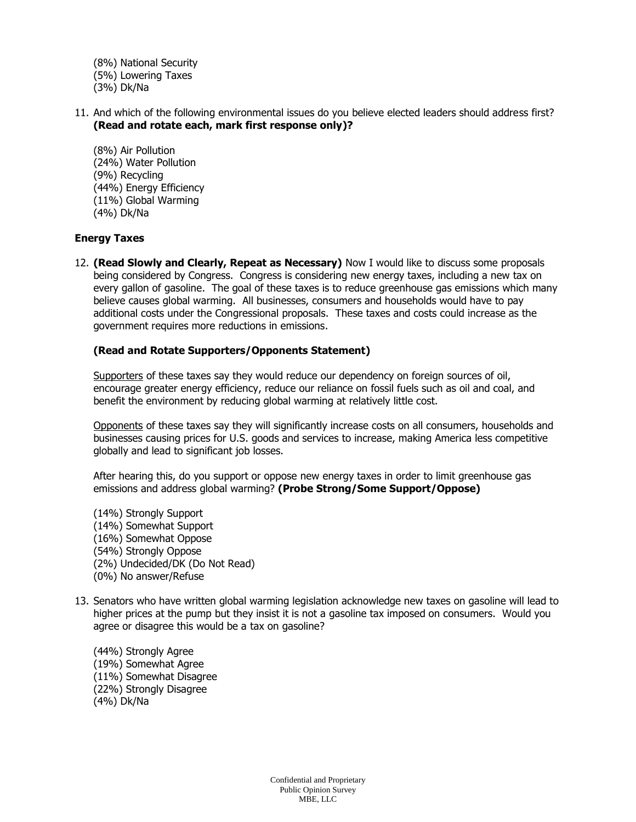- (8%) National Security
- (5%) Lowering Taxes
- (3%) Dk/Na
- 11. And which of the following environmental issues do you believe elected leaders should address first? **(Read and rotate each, mark first response only)?**
	- (8%) Air Pollution (24%) Water Pollution (9%) Recycling (44%) Energy Efficiency (11%) Global Warming (4%) Dk/Na

### **Energy Taxes**

12. **(Read Slowly and Clearly, Repeat as Necessary)** Now I would like to discuss some proposals being considered by Congress. Congress is considering new energy taxes, including a new tax on every gallon of gasoline. The goal of these taxes is to reduce greenhouse gas emissions which many believe causes global warming. All businesses, consumers and households would have to pay additional costs under the Congressional proposals. These taxes and costs could increase as the government requires more reductions in emissions.

## **(Read and Rotate Supporters/Opponents Statement)**

Supporters of these taxes say they would reduce our dependency on foreign sources of oil, encourage greater energy efficiency, reduce our reliance on fossil fuels such as oil and coal, and benefit the environment by reducing global warming at relatively little cost.

Opponents of these taxes say they will significantly increase costs on all consumers, households and businesses causing prices for U.S. goods and services to increase, making America less competitive globally and lead to significant job losses.

After hearing this, do you support or oppose new energy taxes in order to limit greenhouse gas emissions and address global warming? **(Probe Strong/Some Support/Oppose)**

- (14%) Strongly Support (14%) Somewhat Support (16%) Somewhat Oppose (54%) Strongly Oppose (2%) Undecided/DK (Do Not Read) (0%) No answer/Refuse
- 13. Senators who have written global warming legislation acknowledge new taxes on gasoline will lead to higher prices at the pump but they insist it is not a gasoline tax imposed on consumers. Would you agree or disagree this would be a tax on gasoline?
	- (44%) Strongly Agree (19%) Somewhat Agree (11%) Somewhat Disagree (22%) Strongly Disagree (4%) Dk/Na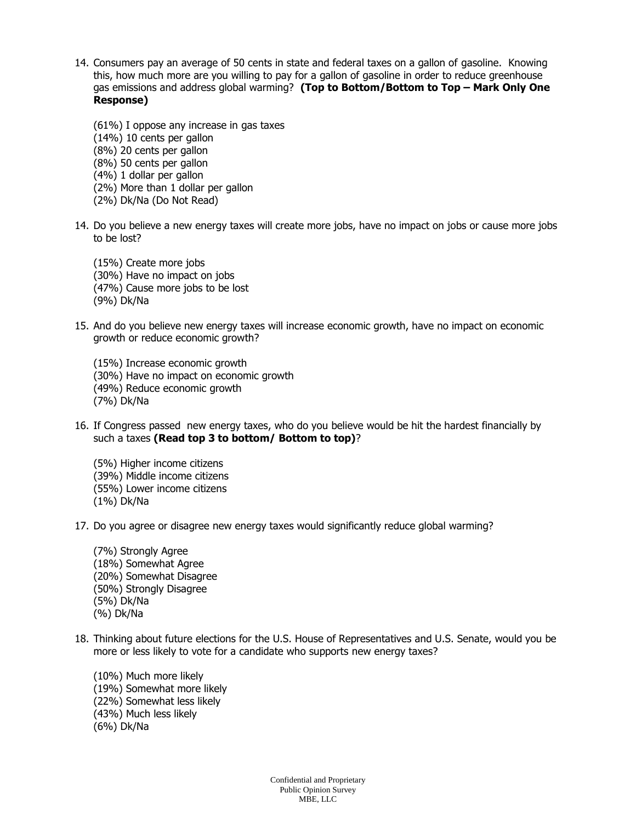- 14. Consumers pay an average of 50 cents in state and federal taxes on a gallon of gasoline. Knowing this, how much more are you willing to pay for a gallon of gasoline in order to reduce greenhouse gas emissions and address global warming? **(Top to Bottom/Bottom to Top – Mark Only One Response)** 
	- (61%) I oppose any increase in gas taxes
	- (14%) 10 cents per gallon
	- (8%) 20 cents per gallon
	- (8%) 50 cents per gallon
	- (4%) 1 dollar per gallon
	- (2%) More than 1 dollar per gallon
	- (2%) Dk/Na (Do Not Read)
- 14. Do you believe a new energy taxes will create more jobs, have no impact on jobs or cause more jobs to be lost?
	- (15%) Create more jobs (30%) Have no impact on jobs (47%) Cause more jobs to be lost (9%) Dk/Na
- 15. And do you believe new energy taxes will increase economic growth, have no impact on economic growth or reduce economic growth?
	- (15%) Increase economic growth (30%) Have no impact on economic growth (49%) Reduce economic growth (7%) Dk/Na
- 16. If Congress passed new energy taxes, who do you believe would be hit the hardest financially by such a taxes **(Read top 3 to bottom/ Bottom to top)**?
	- (5%) Higher income citizens (39%) Middle income citizens (55%) Lower income citizens (1%) Dk/Na
- 17. Do you agree or disagree new energy taxes would significantly reduce global warming?
	- (7%) Strongly Agree (18%) Somewhat Agree (20%) Somewhat Disagree (50%) Strongly Disagree (5%) Dk/Na (%) Dk/Na
- 18. Thinking about future elections for the U.S. House of Representatives and U.S. Senate, would you be more or less likely to vote for a candidate who supports new energy taxes?

(10%) Much more likely (19%) Somewhat more likely (22%) Somewhat less likely (43%) Much less likely (6%) Dk/Na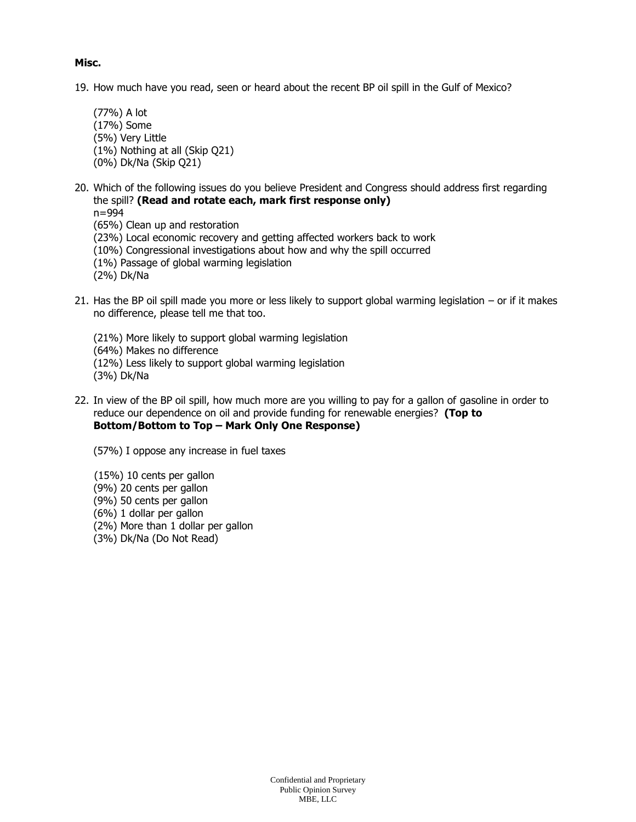## **Misc.**

- 19. How much have you read, seen or heard about the recent BP oil spill in the Gulf of Mexico?
	- (77%) A lot (17%) Some (5%) Very Little (1%) Nothing at all (Skip Q21) (0%) Dk/Na (Skip Q21)
- 20. Which of the following issues do you believe President and Congress should address first regarding the spill? **(Read and rotate each, mark first response only)**
	- n=994
	- (65%) Clean up and restoration
	- (23%) Local economic recovery and getting affected workers back to work
	- (10%) Congressional investigations about how and why the spill occurred
	- (1%) Passage of global warming legislation
	- (2%) Dk/Na
- 21. Has the BP oil spill made you more or less likely to support global warming legislation or if it makes no difference, please tell me that too.
	- (21%) More likely to support global warming legislation
	- (64%) Makes no difference
	- (12%) Less likely to support global warming legislation
	- (3%) Dk/Na
- 22. In view of the BP oil spill, how much more are you willing to pay for a gallon of gasoline in order to reduce our dependence on oil and provide funding for renewable energies? **(Top to Bottom/Bottom to Top – Mark Only One Response)** 
	- (57%) I oppose any increase in fuel taxes
	- (15%) 10 cents per gallon
	- (9%) 20 cents per gallon
	- (9%) 50 cents per gallon
	- (6%) 1 dollar per gallon
	- (2%) More than 1 dollar per gallon
	- (3%) Dk/Na (Do Not Read)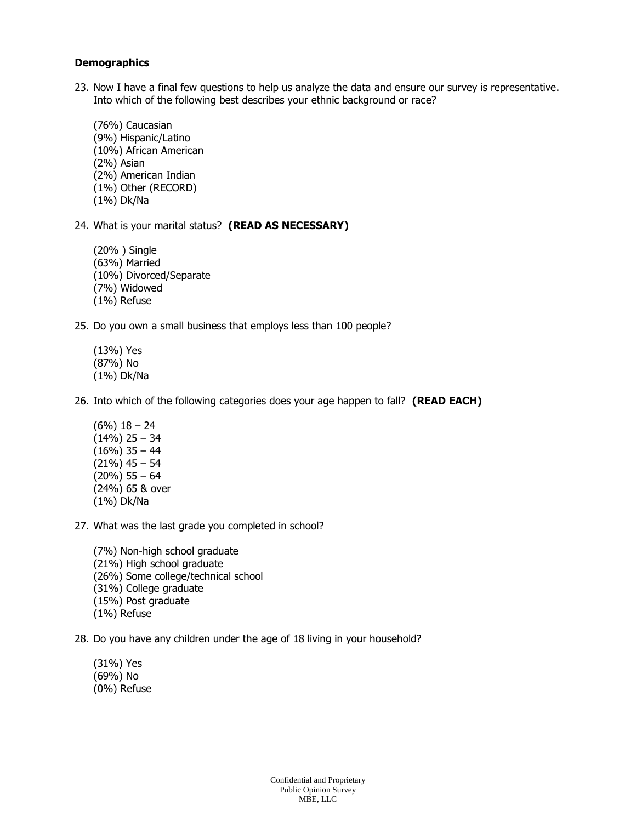#### **Demographics**

- 23. Now I have a final few questions to help us analyze the data and ensure our survey is representative. Into which of the following best describes your ethnic background or race?
	- (76%) Caucasian (9%) Hispanic/Latino (10%) African American (2%) Asian (2%) American Indian (1%) Other (RECORD) (1%) Dk/Na

24. What is your marital status? **(READ AS NECESSARY)**

- (20% ) Single (63%) Married (10%) Divorced/Separate (7%) Widowed (1%) Refuse
- 25. Do you own a small business that employs less than 100 people?
	- (13%) Yes (87%) No (1%) Dk/Na

26. Into which of the following categories does your age happen to fall? **(READ EACH)**

- (6%) 18 24 (14%) 25 – 34  $(16\%)$  35 - 44 (21%) 45 – 54 (20%) 55 – 64 (24%) 65 & over (1%) Dk/Na
- 27. What was the last grade you completed in school?
	- (7%) Non-high school graduate (21%) High school graduate (26%) Some college/technical school (31%) College graduate (15%) Post graduate (1%) Refuse

28. Do you have any children under the age of 18 living in your household?

(31%) Yes (69%) No (0%) Refuse